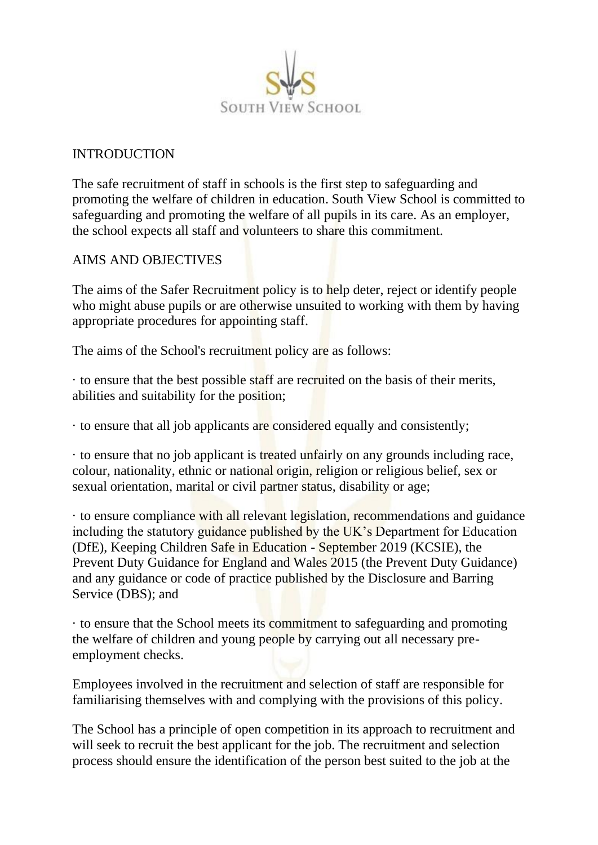

### INTRODUCTION

The safe recruitment of staff in schools is the first step to safeguarding and promoting the welfare of children in education. South View School is committed to safeguarding and promoting the welfare of all pupils in its care. As an employer, the school expects all staff and volunteers to share this commitment.

# AIMS AND OBJECTIVES

The aims of the Safer Recruitment policy is to help deter, reject or identify people who might abuse pupils or are otherwise unsuited to working with them by having appropriate procedures for appointing staff.

The aims of the School's recruitment policy are as follows:

· to ensure that the best possible staff are recruited on the basis of their merits, abilities and suitability for the position;

· to ensure that all job applicants are considered equally and consistently;

· to ensure that no job applicant is treated unfairly on any grounds including race, colour, nationality, ethnic or national origin, religion or religious belief, sex or sexual orientation, marital or civil partner status, disability or age;

· to ensure compliance with all relevant legislation, recommendations and guidance including the statutory guidance published by the UK's Department for Education (DfE), Keeping Children Safe in Education - September 2019 (KCSIE), the Prevent Duty Guidance for England and Wales 2015 (the Prevent Duty Guidance) and any guidance or code of practice published by the Disclosure and Barring Service (DBS); and

· to ensure that the School meets its commitment to safeguarding and promoting the welfare of children and young people by carrying out all necessary preemployment checks.

Employees involved in the recruitment and selection of staff are responsible for familiarising themselves with and complying with the provisions of this policy.

The School has a principle of open competition in its approach to recruitment and will seek to recruit the best applicant for the job. The recruitment and selection process should ensure the identification of the person best suited to the job at the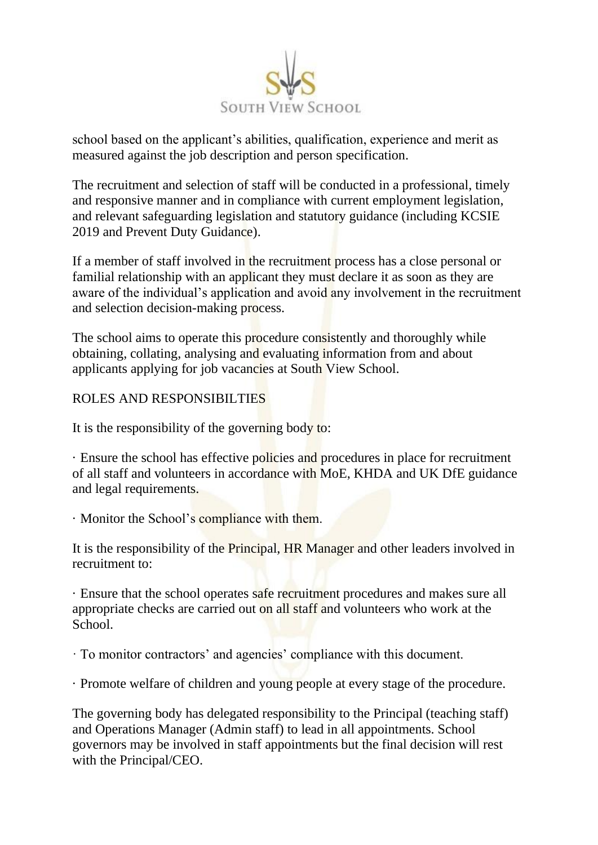

school based on the applicant's abilities, qualification, experience and merit as measured against the job description and person specification.

The recruitment and selection of staff will be conducted in a professional, timely and responsive manner and in compliance with current employment legislation, and relevant safeguarding legislation and statutory guidance (including KCSIE 2019 and Prevent Duty Guidance).

If a member of staff involved in the recruitment process has a close personal or familial relationship with an applicant they must declare it as soon as they are aware of the individual's application and avoid any involvement in the recruitment and selection decision-making process.

The school aims to operate this procedure consistently and thoroughly while obtaining, collating, analysing and evaluating information from and about applicants applying for job vacancies at South View School.

# ROLES AND RESPONSIBILTIES

It is the responsibility of the governing body to:

· Ensure the school has effective policies and procedures in place for recruitment of all staff and volunteers in accordance with MoE, KHDA and UK DfE guidance and legal requirements.

· Monitor the School's compliance with them.

It is the responsibility of the Principal, HR Manager and other leaders involved in recruitment to:

· Ensure that the school operates safe recruitment procedures and makes sure all appropriate checks are carried out on all staff and volunteers who work at the School.

· To monitor contractors' and agencies' compliance with this document.

· Promote welfare of children and young people at every stage of the procedure.

The governing body has delegated responsibility to the Principal (teaching staff) and Operations Manager (Admin staff) to lead in all appointments. School governors may be involved in staff appointments but the final decision will rest with the Principal/CEO.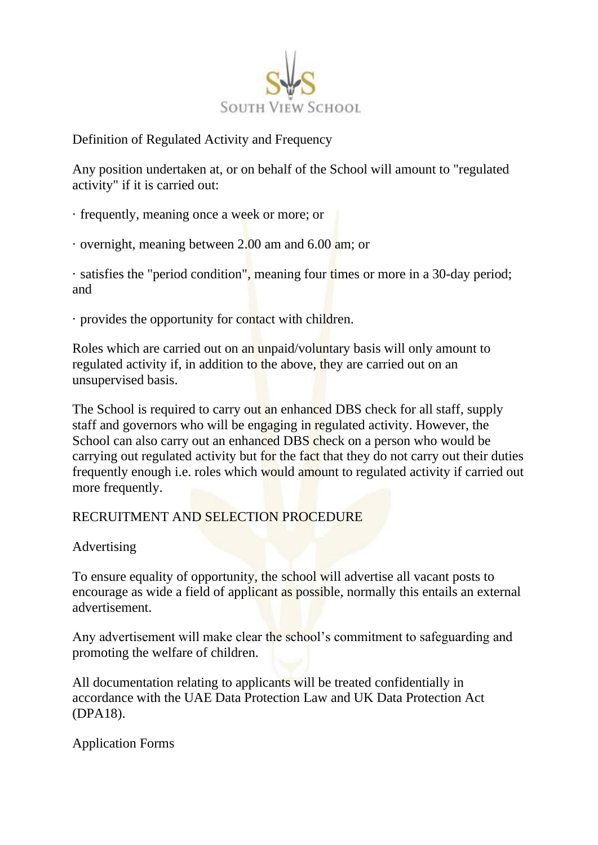

Definition of Regulated Activity and Frequency

Any position undertaken at, or on behalf of the School will amount to "regulated activity" if it is carried out:

- · frequently, meaning once a week or more; or
- · overnight, meaning between 2.00 am and 6.00 am; or

· satisfies the "period condition", meaning four times or more in a 30-day period; and

· provides the opportunity for contact with children.

Roles which are carried out on an unpaid/voluntary basis will only amount to regulated activity if, in addition to the above, they are carried out on an unsupervised basis.

The School is required to carry out an enhanced DBS check for all staff, supply staff and governors who will be engaging in regulated activity. However, the School can also carry out an enhanced DBS check on a person who would be carrying out regulated activity but for the fact that they do not carry out their duties frequently enough i.e. roles which would amount to regulated activity if carried out more frequently.

# RECRUITMENT AND SELECTION PROCEDURE

#### Advertising

To ensure equality of opportunity, the school will advertise all vacant posts to encourage as wide a field of applicant as possible, normally this entails an external advertisement.

Any advertisement will make clear the school's commitment to safeguarding and promoting the welfare of children.

All documentation relating to applicants will be treated confidentially in accordance with the UAE Data Protection Law and UK Data Protection Act (DPA18).

Application Forms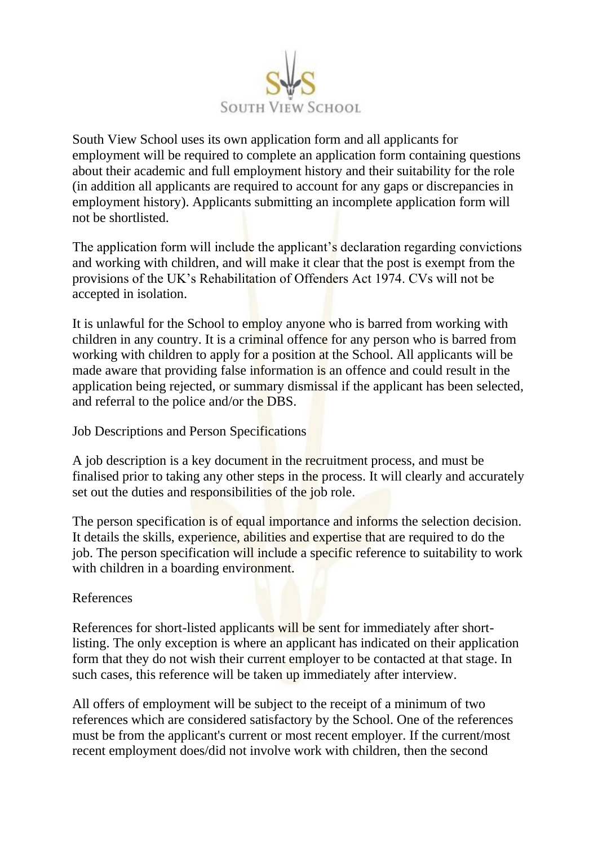

South View School uses its own application form and all applicants for employment will be required to complete an application form containing questions about their academic and full employment history and their suitability for the role (in addition all applicants are required to account for any gaps or discrepancies in employment history). Applicants submitting an incomplete application form will not be shortlisted.

The application form will include the applicant's declaration regarding convictions and working with children, and will make it clear that the post is exempt from the provisions of the UK's Rehabilitation of Offenders Act 1974. CVs will not be accepted in isolation.

It is unlawful for the School to employ anyone who is barred from working with children in any country. It is a criminal offence for any person who is barred from working with children to apply for a position at the School. All applicants will be made aware that providing false information is an offence and could result in the application being rejected, or summary dismissal if the applicant has been selected, and referral to the police and/or the DBS.

Job Descriptions and Person Specifications

A job description is a key document in the recruitment process, and must be finalised prior to taking any other steps in the process. It will clearly and accurately set out the duties and responsibilities of the job role.

The person specification is of equal importance and informs the selection decision. It details the skills, experience, abilities and expertise that are required to do the job. The person specification will include a specific reference to suitability to work with children in a boarding environment.

# References

References for short-listed applicants will be sent for immediately after shortlisting. The only exception is where an applicant has indicated on their application form that they do not wish their current employer to be contacted at that stage. In such cases, this reference will be taken up immediately after interview.

All offers of employment will be subject to the receipt of a minimum of two references which are considered satisfactory by the School. One of the references must be from the applicant's current or most recent employer. If the current/most recent employment does/did not involve work with children, then the second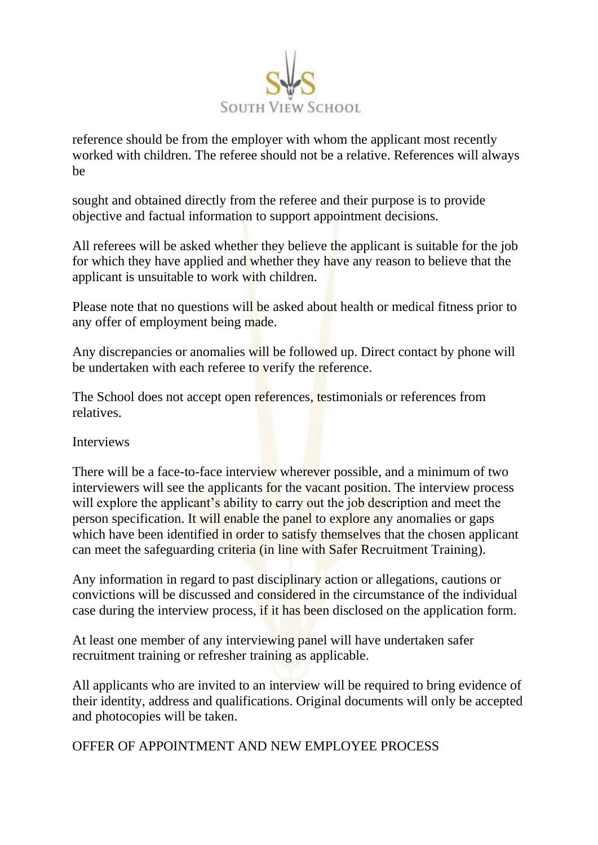

reference should be from the employer with whom the applicant most recently worked with children. The referee should not be a relative. References will always be

sought and obtained directly from the referee and their purpose is to provide objective and factual information to support appointment decisions.

All referees will be asked whether they believe the applicant is suitable for the job for which they have applied and whether they have any reason to believe that the applicant is unsuitable to work with children.

Please note that no questions will be asked about health or medical fitness prior to any offer of employment being made.

Any discrepancies or anomalies will be followed up. Direct contact by phone will be undertaken with each referee to verify the reference.

The School does not accept open references, testimonials or references from relatives.

Interviews

There will be a face-to-face interview wherever possible, and a minimum of two interviewers will see the applicants for the vacant position. The interview process will explore the applicant's ability to carry out the job description and meet the person specification. It will enable the panel to explore any anomalies or gaps which have been identified in order to satisfy themselves that the chosen applicant can meet the safeguarding criteria (in line with Safer Recruitment Training).

Any information in regard to past disciplinary action or allegations, cautions or convictions will be discussed and considered in the circumstance of the individual case during the interview process, if it has been disclosed on the application form.

At least one member of any interviewing panel will have undertaken safer recruitment training or refresher training as applicable.

All applicants who are invited to an interview will be required to bring evidence of their identity, address and qualifications. Original documents will only be accepted and photocopies will be taken.

OFFER OF APPOINTMENT AND NEW EMPLOYEE PROCESS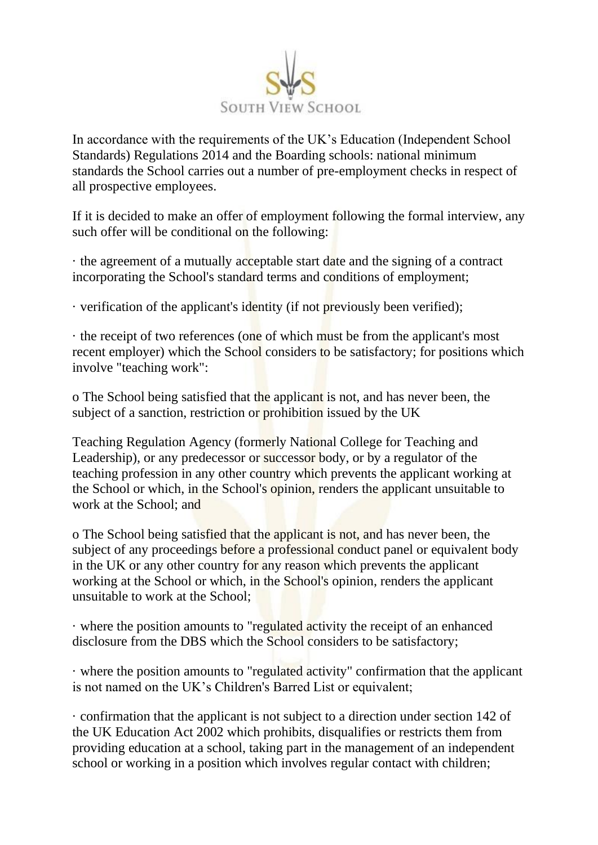

In accordance with the requirements of the UK's Education (Independent School Standards) Regulations 2014 and the Boarding schools: national minimum standards the School carries out a number of pre-employment checks in respect of all prospective employees.

If it is decided to make an offer of employment following the formal interview, any such offer will be conditional on the following:

· the agreement of a mutually acceptable start date and the signing of a contract incorporating the School's standard terms and conditions of employment;

· verification of the applicant's identity (if not previously been verified);

· the receipt of two references (one of which must be from the applicant's most recent employer) which the School considers to be satisfactory; for positions which involve "teaching work":

o The School being satisfied that the applicant is not, and has never been, the subject of a sanction, restriction or prohibition issued by the UK

Teaching Regulation Agency (formerly National College for Teaching and Leadership), or any predecessor or successor body, or by a regulator of the teaching profession in any other country which prevents the applicant working at the School or which, in the School's opinion, renders the applicant unsuitable to work at the School; and

o The School being satisfied that the applicant is not, and has never been, the subject of any proceedings before a professional conduct panel or equivalent body in the UK or any other country for any reason which prevents the applicant working at the School or which, in the School's opinion, renders the applicant unsuitable to work at the School;

· where the position amounts to "regulated activity the receipt of an enhanced disclosure from the DBS which the School considers to be satisfactory;

· where the position amounts to "regulated activity" confirmation that the applicant is not named on the UK's Children's Barred List or equivalent;

· confirmation that the applicant is not subject to a direction under section 142 of the UK Education Act 2002 which prohibits, disqualifies or restricts them from providing education at a school, taking part in the management of an independent school or working in a position which involves regular contact with children;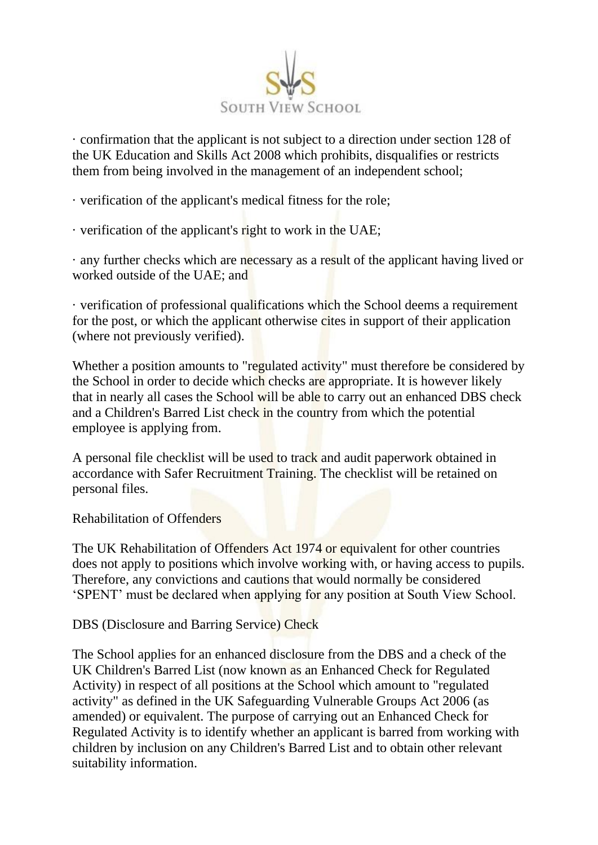

· confirmation that the applicant is not subject to a direction under section 128 of the UK Education and Skills Act 2008 which prohibits, disqualifies or restricts them from being involved in the management of an independent school;

· verification of the applicant's medical fitness for the role;

· verification of the applicant's right to work in the UAE;

· any further checks which are necessary as a result of the applicant having lived or worked outside of the UAE; and

· verification of professional qualifications which the School deems a requirement for the post, or which the applicant otherwise cites in support of their application (where not previously verified).

Whether a position amounts to "regulated activity" must therefore be considered by the School in order to decide which checks are appropriate. It is however likely that in nearly all cases the School will be able to carry out an enhanced DBS check and a Children's Barred List check in the country from which the potential employee is applying from.

A personal file checklist will be used to track and audit paperwork obtained in accordance with Safer Recruitment Training. The checklist will be retained on personal files.

Rehabilitation of Offenders

The UK Rehabilitation of Offenders Act 1974 or equivalent for other countries does not apply to positions which involve working with, or having access to pupils. Therefore, any convictions and cautions that would normally be considered 'SPENT' must be declared when applying for any position at South View School.

DBS (Disclosure and Barring Service) Check

The School applies for an enhanced disclosure from the DBS and a check of the UK Children's Barred List (now known as an Enhanced Check for Regulated Activity) in respect of all positions at the School which amount to "regulated activity" as defined in the UK Safeguarding Vulnerable Groups Act 2006 (as amended) or equivalent. The purpose of carrying out an Enhanced Check for Regulated Activity is to identify whether an applicant is barred from working with children by inclusion on any Children's Barred List and to obtain other relevant suitability information.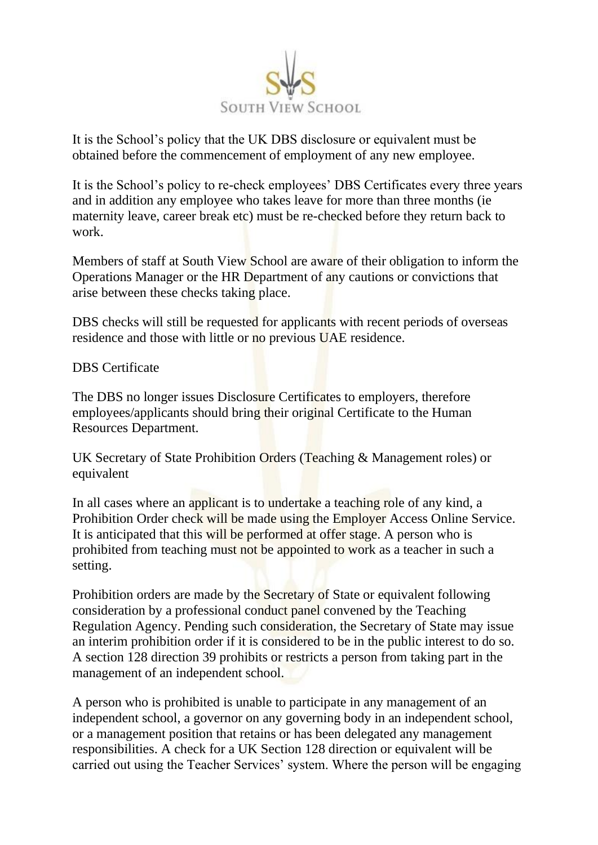

It is the School's policy that the UK DBS disclosure or equivalent must be obtained before the commencement of employment of any new employee.

It is the School's policy to re-check employees' DBS Certificates every three years and in addition any employee who takes leave for more than three months (ie maternity leave, career break etc) must be re-checked before they return back to work.

Members of staff at South View School are aware of their obligation to inform the Operations Manager or the HR Department of any cautions or convictions that arise between these checks taking place.

DBS checks will still be requested for applicants with recent periods of overseas residence and those with little or no previous UAE residence.

#### DBS Certificate

The DBS no longer issues Disclosure Certificates to employers, therefore employees/applicants should bring their original Certificate to the Human Resources Department.

UK Secretary of State Prohibition Orders (Teaching & Management roles) or equivalent

In all cases where an applicant is to undertake a teaching role of any kind, a Prohibition Order check will be made using the Employer Access Online Service. It is anticipated that this will be performed at offer stage. A person who is prohibited from teaching must not be appointed to work as a teacher in such a setting.

Prohibition orders are made by the Secretary of State or equivalent following consideration by a professional conduct panel convened by the Teaching Regulation Agency. Pending such consideration, the Secretary of State may issue an interim prohibition order if it is considered to be in the public interest to do so. A section 128 direction 39 prohibits or restricts a person from taking part in the management of an independent school.

A person who is prohibited is unable to participate in any management of an independent school, a governor on any governing body in an independent school, or a management position that retains or has been delegated any management responsibilities. A check for a UK Section 128 direction or equivalent will be carried out using the Teacher Services' system. Where the person will be engaging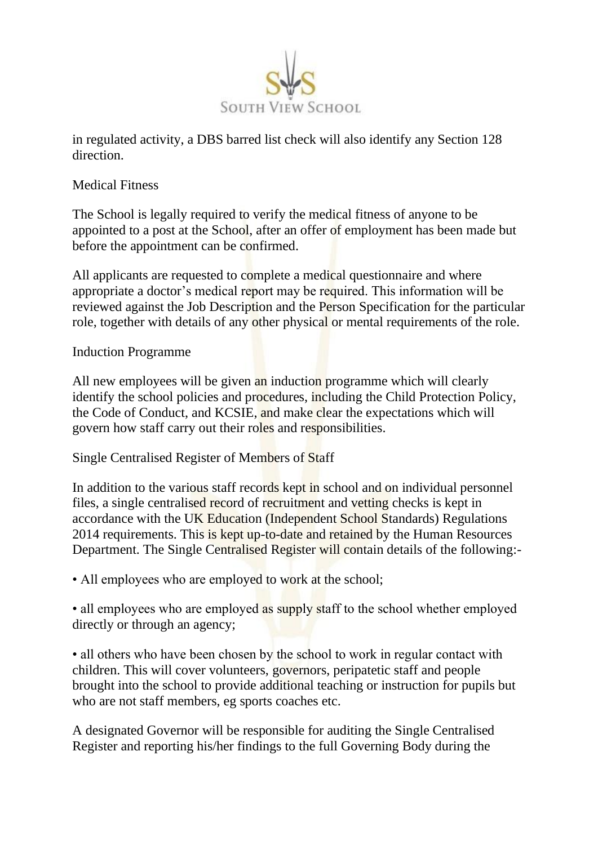

in regulated activity, a DBS barred list check will also identify any Section 128 direction.

### Medical Fitness

The School is legally required to verify the medical fitness of anyone to be appointed to a post at the School, after an offer of employment has been made but before the appointment can be confirmed.

All applicants are requested to complete a medical questionnaire and where appropriate a doctor's medical report may be required. This information will be reviewed against the Job Description and the Person Specification for the particular role, together with details of any other physical or mental requirements of the role.

Induction Programme

All new employees will be given an induction programme which will clearly identify the school policies and procedures, including the Child Protection Policy, the Code of Conduct, and KCSIE, and make clear the expectations which will govern how staff carry out their roles and responsibilities.

Single Centralised Register of Members of Staff

In addition to the various staff records kept in school and on individual personnel files, a single centralised record of recruitment and vetting checks is kept in accordance with the UK Education (Independent School Standards) Regulations 2014 requirements. This is kept up-to-date and retained by the Human Resources Department. The Single Centralised Register will contain details of the following:-

• All employees who are employed to work at the school;

• all employees who are employed as supply staff to the school whether employed directly or through an agency;

• all others who have been chosen by the school to work in regular contact with children. This will cover volunteers, governors, peripatetic staff and people brought into the school to provide additional teaching or instruction for pupils but who are not staff members, eg sports coaches etc.

A designated Governor will be responsible for auditing the Single Centralised Register and reporting his/her findings to the full Governing Body during the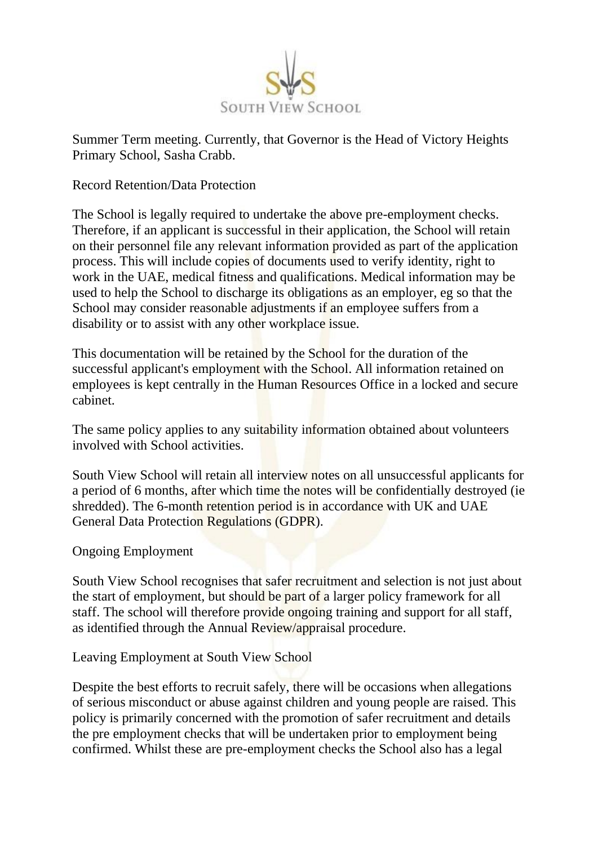

Summer Term meeting. Currently, that Governor is the Head of Victory Heights Primary School, Sasha Crabb.

Record Retention/Data Protection

The School is legally required to undertake the above pre-employment checks. Therefore, if an applicant is successful in their application, the School will retain on their personnel file any relevant information provided as part of the application process. This will include copies of documents used to verify identity, right to work in the UAE, medical fitness and qualifications. Medical information may be used to help the School to discharge its obligations as an employer, eg so that the School may consider reasonable adjustments if an employee suffers from a disability or to assist with any other workplace issue.

This documentation will be retained by the School for the duration of the successful applicant's employment with the School. All information retained on employees is kept centrally in the Human Resources Office in a locked and secure cabinet.

The same policy applies to any suitability information obtained about volunteers involved with School activities.

South View School will retain all interview notes on all unsuccessful applicants for a period of 6 months, after which time the notes will be confidentially destroyed (ie shredded). The 6-month retention period is in accordance with UK and UAE General Data Protection Regulations (GDPR).

Ongoing Employment

South View School recognises that safer recruitment and selection is not just about the start of employment, but should be part of a larger policy framework for all staff. The school will therefore provide ongoing training and support for all staff, as identified through the Annual Review/appraisal procedure.

Leaving Employment at South View School

Despite the best efforts to recruit safely, there will be occasions when allegations of serious misconduct or abuse against children and young people are raised. This policy is primarily concerned with the promotion of safer recruitment and details the pre employment checks that will be undertaken prior to employment being confirmed. Whilst these are pre-employment checks the School also has a legal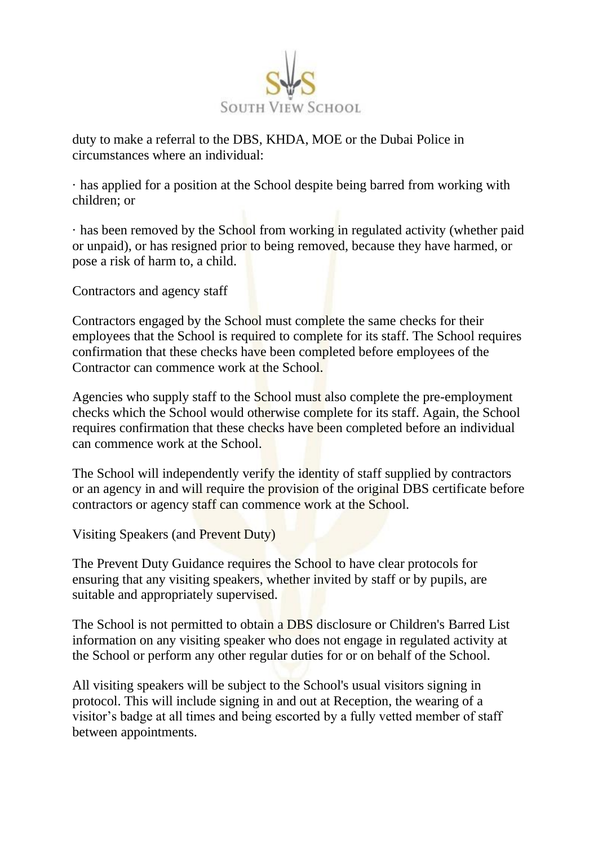

duty to make a referral to the DBS, KHDA, MOE or the Dubai Police in circumstances where an individual:

· has applied for a position at the School despite being barred from working with children; or

· has been removed by the School from working in regulated activity (whether paid or unpaid), or has resigned prior to being removed, because they have harmed, or pose a risk of harm to, a child.

Contractors and agency staff

Contractors engaged by the School must complete the same checks for their employees that the School is required to complete for its staff. The School requires confirmation that these checks have been completed before employees of the Contractor can commence work at the School.

Agencies who supply staff to the School must also complete the pre-employment checks which the School would otherwise complete for its staff. Again, the School requires confirmation that these checks have been completed before an individual can commence work at the School.

The School will independently verify the identity of staff supplied by contractors or an agency in and will require the provision of the original DBS certificate before contractors or agency staff can commence work at the School.

Visiting Speakers (and Prevent Duty)

The Prevent Duty Guidance requires the School to have clear protocols for ensuring that any visiting speakers, whether invited by staff or by pupils, are suitable and appropriately supervised.

The School is not permitted to obtain a DBS disclosure or Children's Barred List information on any visiting speaker who does not engage in regulated activity at the School or perform any other regular duties for or on behalf of the School.

All visiting speakers will be subject to the School's usual visitors signing in protocol. This will include signing in and out at Reception, the wearing of a visitor's badge at all times and being escorted by a fully vetted member of staff between appointments.